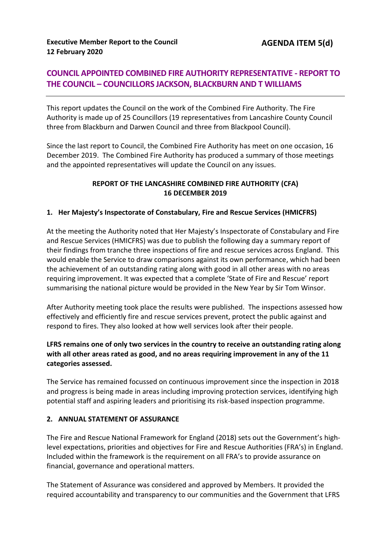# **COUNCIL APPOINTED COMBINED FIRE AUTHORITY REPRESENTATIVE - REPORT TO THE COUNCIL – COUNCILLORS JACKSON, BLACKBURN AND T WILLIAMS**

This report updates the Council on the work of the Combined Fire Authority. The Fire Authority is made up of 25 Councillors (19 representatives from Lancashire County Council three from Blackburn and Darwen Council and three from Blackpool Council).

Since the last report to Council, the Combined Fire Authority has meet on one occasion, 16 December 2019. The Combined Fire Authority has produced a summary of those meetings and the appointed representatives will update the Council on any issues.

### **REPORT OF THE LANCASHIRE COMBINED FIRE AUTHORITY (CFA) 16 DECEMBER 2019**

### **1. Her Majesty's Inspectorate of Constabulary, Fire and Rescue Services (HMICFRS)**

At the meeting the Authority noted that Her Majesty's Inspectorate of Constabulary and Fire and Rescue Services (HMICFRS) was due to publish the following day a summary report of their findings from tranche three inspections of fire and rescue services across England. This would enable the Service to draw comparisons against its own performance, which had been the achievement of an outstanding rating along with good in all other areas with no areas requiring improvement. It was expected that a complete 'State of Fire and Rescue' report summarising the national picture would be provided in the New Year by Sir Tom Winsor.

After Authority meeting took place the results were published. The inspections assessed how effectively and efficiently fire and rescue services prevent, protect the public against and respond to fires. They also looked at how well services look after their people.

### **LFRS remains one of only two services in the country to receive an outstanding rating along with all other areas rated as good, and no areas requiring improvement in any of the 11 categories assessed.**

The Service has remained focussed on continuous improvement since the inspection in 2018 and progress is being made in areas including improving protection services, identifying high potential staff and aspiring leaders and prioritising its risk-based inspection programme.

#### **2. ANNUAL STATEMENT OF ASSURANCE**

The Fire and Rescue National Framework for England (2018) sets out the Government's highlevel expectations, priorities and objectives for Fire and Rescue Authorities (FRA's) in England. Included within the framework is the requirement on all FRA's to provide assurance on financial, governance and operational matters.

The Statement of Assurance was considered and approved by Members. It provided the required accountability and transparency to our communities and the Government that LFRS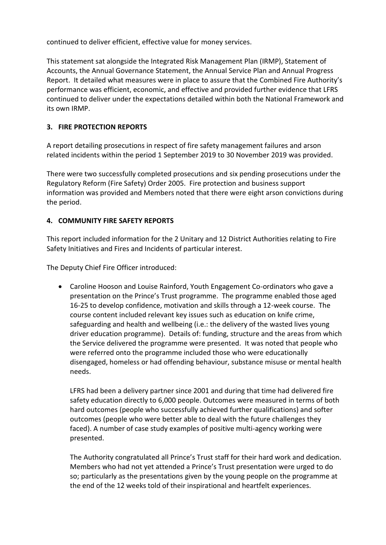continued to deliver efficient, effective value for money services.

This statement sat alongside the Integrated Risk Management Plan (IRMP), Statement of Accounts, the Annual Governance Statement, the Annual Service Plan and Annual Progress Report. It detailed what measures were in place to assure that the Combined Fire Authority's performance was efficient, economic, and effective and provided further evidence that LFRS continued to deliver under the expectations detailed within both the National Framework and its own IRMP.

# **3. FIRE PROTECTION REPORTS**

A report detailing prosecutions in respect of fire safety management failures and arson related incidents within the period 1 September 2019 to 30 November 2019 was provided.

There were two successfully completed prosecutions and six pending prosecutions under the Regulatory Reform (Fire Safety) Order 2005. Fire protection and business support information was provided and Members noted that there were eight arson convictions during the period.

# **4. COMMUNITY FIRE SAFETY REPORTS**

This report included information for the 2 Unitary and 12 District Authorities relating to Fire Safety Initiatives and Fires and Incidents of particular interest.

The Deputy Chief Fire Officer introduced:

 Caroline Hooson and Louise Rainford, Youth Engagement Co-ordinators who gave a presentation on the Prince's Trust programme. The programme enabled those aged 16-25 to develop confidence, motivation and skills through a 12-week course. The course content included relevant key issues such as education on knife crime, safeguarding and health and wellbeing (i.e.: the delivery of the wasted lives young driver education programme). Details of: funding, structure and the areas from which the Service delivered the programme were presented. It was noted that people who were referred onto the programme included those who were educationally disengaged, homeless or had offending behaviour, substance misuse or mental health needs.

LFRS had been a delivery partner since 2001 and during that time had delivered fire safety education directly to 6,000 people. Outcomes were measured in terms of both hard outcomes (people who successfully achieved further qualifications) and softer outcomes (people who were better able to deal with the future challenges they faced). A number of case study examples of positive multi-agency working were presented.

The Authority congratulated all Prince's Trust staff for their hard work and dedication. Members who had not yet attended a Prince's Trust presentation were urged to do so; particularly as the presentations given by the young people on the programme at the end of the 12 weeks told of their inspirational and heartfelt experiences.